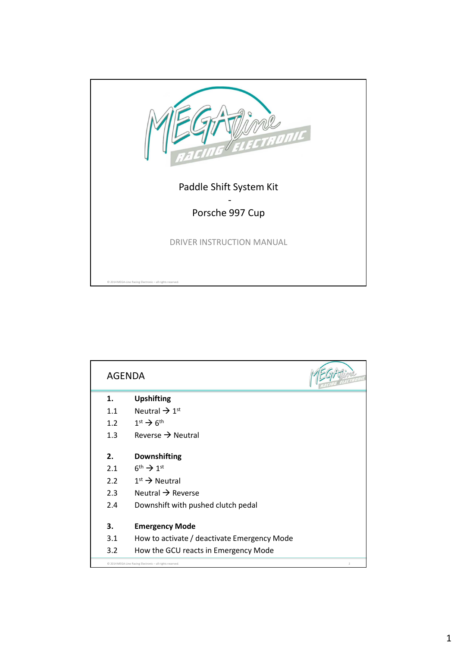

| <b>AGENDA</b>                                                               |                                             |  |
|-----------------------------------------------------------------------------|---------------------------------------------|--|
| 1.                                                                          | <b>Upshifting</b>                           |  |
| 1.1                                                                         | Neutral $\rightarrow$ 1 <sup>st</sup>       |  |
| 1.2                                                                         | $1st \rightarrow 6th$                       |  |
| 1.3                                                                         | Reverse $\rightarrow$ Neutral               |  |
| 2.                                                                          | <b>Downshifting</b>                         |  |
| 2.1                                                                         | $6^{\text{th}} \rightarrow 1^{\text{st}}$   |  |
| 2.2                                                                         | $1st \rightarrow$ Neutral                   |  |
| 2.3                                                                         | Neutral $\rightarrow$ Reverse               |  |
| 2.4                                                                         | Downshift with pushed clutch pedal          |  |
| 3.                                                                          | <b>Emergency Mode</b>                       |  |
| 3.1                                                                         | How to activate / deactivate Emergency Mode |  |
| 3.2                                                                         | How the GCU reacts in Emergency Mode        |  |
| C 2014 MEGA-Line Racing Electronic - all rights reserved.<br>$\overline{2}$ |                                             |  |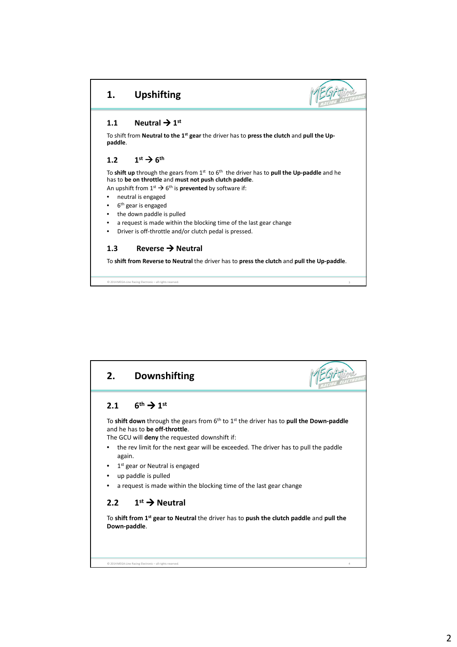## **1. Upshifting**



## **1.1** Neutral  $\rightarrow$  1<sup>st</sup>

To shift from **Neutral to the 1st gear** the driver has to **press the clutch** and **pull the Uppaddle**.

## 1.2  $1^{st} \rightarrow 6^{th}$

To **shift up** through the gears from 1st to 6th the driver has to **pull the Up-paddle** and he has to **be on throttle** and **must not push clutch paddle**.

An upshift from  $1^{st} \rightarrow 6^{th}$  is **prevented** by software if:

- neutral is engaged
- 6<sup>th</sup> gear is engaged

© 2014 MEGA-Line Racing Electronic – all rights reserved.

- the down paddle is pulled
- a request is made within the blocking time of the last gear change
- Driver is off-throttle and/or clutch pedal is pressed.

## **1.3** Reverse → Neutral

To **shift from Reverse to Neutral** the driver has to **press the clutch** and **pull the Up-paddle**.